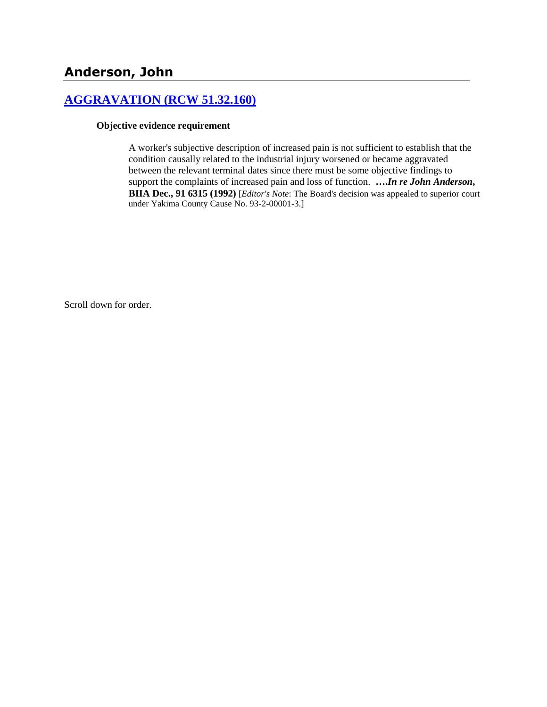# **[AGGRAVATION \(RCW 51.32.160\)](http://www.biia.wa.gov/SDSubjectIndex.html#AGGRAVATION)**

#### **Objective evidence requirement**

A worker's subjective description of increased pain is not sufficient to establish that the condition causally related to the industrial injury worsened or became aggravated between the relevant terminal dates since there must be some objective findings to support the complaints of increased pain and loss of function. **….***In re John Anderson***, BIIA Dec., 91 6315 (1992)** [*Editor's Note*: The Board's decision was appealed to superior court under Yakima County Cause No. 93-2-00001-3.]

Scroll down for order.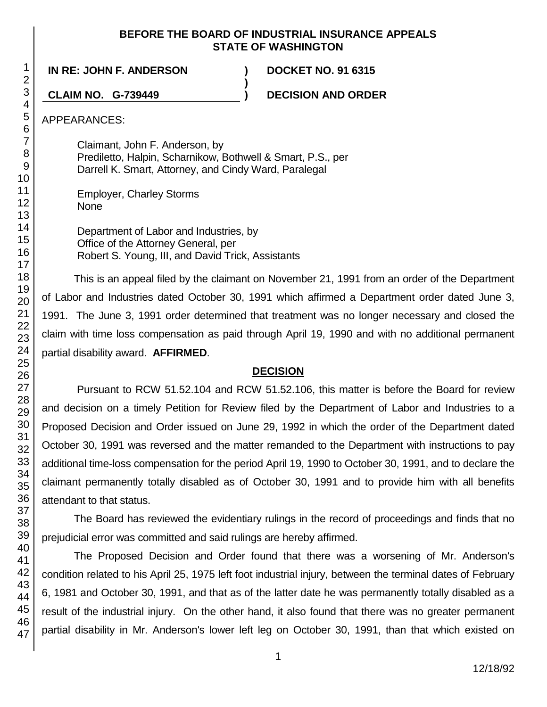### **BEFORE THE BOARD OF INDUSTRIAL INSURANCE APPEALS STATE OF WASHINGTON**

**)**

**IN RE: JOHN F. ANDERSON ) DOCKET NO. 91 6315**

**CLAIM NO. G-739449 ) DECISION AND ORDER**

APPEARANCES:

Claimant, John F. Anderson, by Prediletto, Halpin, Scharnikow, Bothwell & Smart, P.S., per Darrell K. Smart, Attorney, and Cindy Ward, Paralegal

Employer, Charley Storms None

Department of Labor and Industries, by Office of the Attorney General, per Robert S. Young, III, and David Trick, Assistants

This is an appeal filed by the claimant on November 21, 1991 from an order of the Department of Labor and Industries dated October 30, 1991 which affirmed a Department order dated June 3, 1991. The June 3, 1991 order determined that treatment was no longer necessary and closed the claim with time loss compensation as paid through April 19, 1990 and with no additional permanent partial disability award. **AFFIRMED**.

# **DECISION**

Pursuant to RCW 51.52.104 and RCW 51.52.106, this matter is before the Board for review and decision on a timely Petition for Review filed by the Department of Labor and Industries to a Proposed Decision and Order issued on June 29, 1992 in which the order of the Department dated October 30, 1991 was reversed and the matter remanded to the Department with instructions to pay additional time-loss compensation for the period April 19, 1990 to October 30, 1991, and to declare the claimant permanently totally disabled as of October 30, 1991 and to provide him with all benefits attendant to that status.

The Board has reviewed the evidentiary rulings in the record of proceedings and finds that no prejudicial error was committed and said rulings are hereby affirmed.

The Proposed Decision and Order found that there was a worsening of Mr. Anderson's condition related to his April 25, 1975 left foot industrial injury, between the terminal dates of February 6, 1981 and October 30, 1991, and that as of the latter date he was permanently totally disabled as a result of the industrial injury. On the other hand, it also found that there was no greater permanent partial disability in Mr. Anderson's lower left leg on October 30, 1991, than that which existed on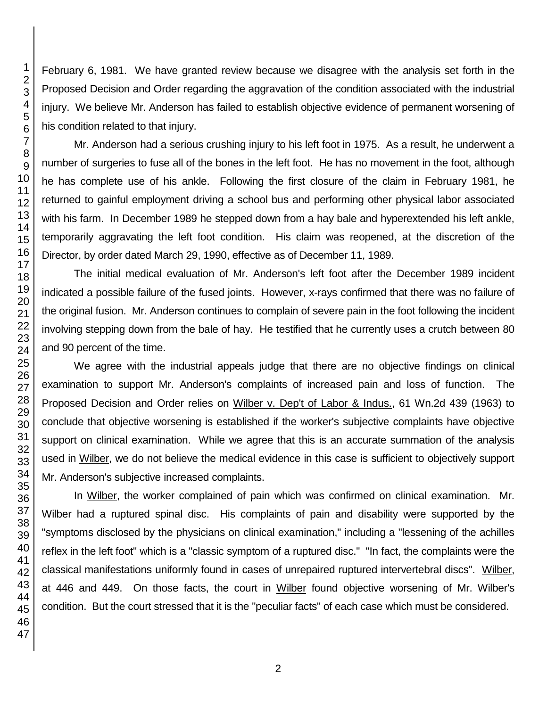February 6, 1981. We have granted review because we disagree with the analysis set forth in the Proposed Decision and Order regarding the aggravation of the condition associated with the industrial injury. We believe Mr. Anderson has failed to establish objective evidence of permanent worsening of his condition related to that injury.

Mr. Anderson had a serious crushing injury to his left foot in 1975. As a result, he underwent a number of surgeries to fuse all of the bones in the left foot. He has no movement in the foot, although he has complete use of his ankle. Following the first closure of the claim in February 1981, he returned to gainful employment driving a school bus and performing other physical labor associated with his farm. In December 1989 he stepped down from a hay bale and hyperextended his left ankle, temporarily aggravating the left foot condition. His claim was reopened, at the discretion of the Director, by order dated March 29, 1990, effective as of December 11, 1989.

The initial medical evaluation of Mr. Anderson's left foot after the December 1989 incident indicated a possible failure of the fused joints. However, x-rays confirmed that there was no failure of the original fusion. Mr. Anderson continues to complain of severe pain in the foot following the incident involving stepping down from the bale of hay. He testified that he currently uses a crutch between 80 and 90 percent of the time.

We agree with the industrial appeals judge that there are no objective findings on clinical examination to support Mr. Anderson's complaints of increased pain and loss of function. The Proposed Decision and Order relies on Wilber v. Dep't of Labor & Indus., 61 Wn.2d 439 (1963) to conclude that objective worsening is established if the worker's subjective complaints have objective support on clinical examination. While we agree that this is an accurate summation of the analysis used in Wilber, we do not believe the medical evidence in this case is sufficient to objectively support Mr. Anderson's subjective increased complaints.

In Wilber, the worker complained of pain which was confirmed on clinical examination. Mr. Wilber had a ruptured spinal disc. His complaints of pain and disability were supported by the "symptoms disclosed by the physicians on clinical examination," including a "lessening of the achilles reflex in the left foot" which is a "classic symptom of a ruptured disc." "In fact, the complaints were the classical manifestations uniformly found in cases of unrepaired ruptured intervertebral discs". Wilber, at 446 and 449. On those facts, the court in Wilber found objective worsening of Mr. Wilber's condition. But the court stressed that it is the "peculiar facts" of each case which must be considered.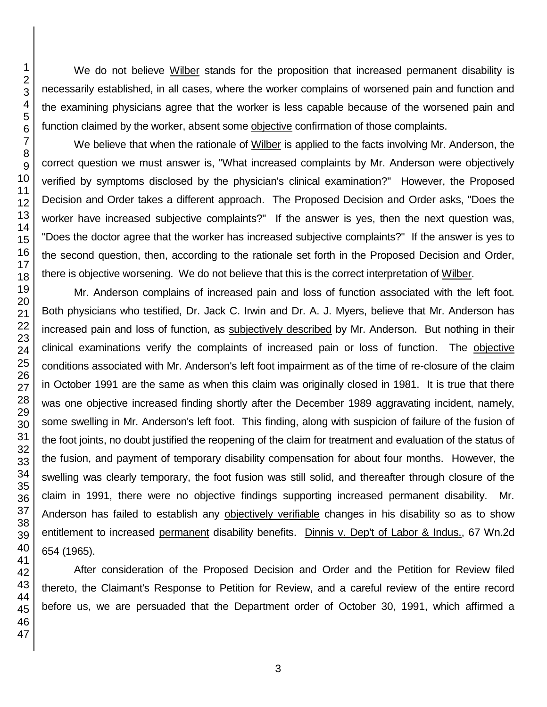We do not believe Wilber stands for the proposition that increased permanent disability is necessarily established, in all cases, where the worker complains of worsened pain and function and the examining physicians agree that the worker is less capable because of the worsened pain and function claimed by the worker, absent some objective confirmation of those complaints.

We believe that when the rationale of Wilber is applied to the facts involving Mr. Anderson, the correct question we must answer is, "What increased complaints by Mr. Anderson were objectively verified by symptoms disclosed by the physician's clinical examination?" However, the Proposed Decision and Order takes a different approach. The Proposed Decision and Order asks, "Does the worker have increased subjective complaints?" If the answer is yes, then the next question was, "Does the doctor agree that the worker has increased subjective complaints?" If the answer is yes to the second question, then, according to the rationale set forth in the Proposed Decision and Order, there is objective worsening. We do not believe that this is the correct interpretation of Wilber.

Mr. Anderson complains of increased pain and loss of function associated with the left foot. Both physicians who testified, Dr. Jack C. Irwin and Dr. A. J. Myers, believe that Mr. Anderson has increased pain and loss of function, as subjectively described by Mr. Anderson. But nothing in their clinical examinations verify the complaints of increased pain or loss of function. The objective conditions associated with Mr. Anderson's left foot impairment as of the time of re-closure of the claim in October 1991 are the same as when this claim was originally closed in 1981. It is true that there was one objective increased finding shortly after the December 1989 aggravating incident, namely, some swelling in Mr. Anderson's left foot. This finding, along with suspicion of failure of the fusion of the foot joints, no doubt justified the reopening of the claim for treatment and evaluation of the status of the fusion, and payment of temporary disability compensation for about four months. However, the swelling was clearly temporary, the foot fusion was still solid, and thereafter through closure of the claim in 1991, there were no objective findings supporting increased permanent disability. Mr. Anderson has failed to establish any objectively verifiable changes in his disability so as to show entitlement to increased permanent disability benefits. Dinnis v. Dep't of Labor & Indus., 67 Wn.2d 654 (1965).

After consideration of the Proposed Decision and Order and the Petition for Review filed thereto, the Claimant's Response to Petition for Review, and a careful review of the entire record before us, we are persuaded that the Department order of October 30, 1991, which affirmed a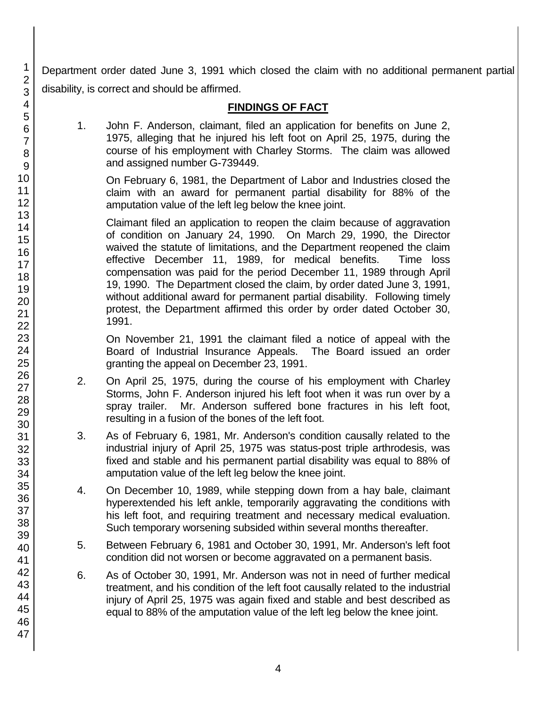Department order dated June 3, 1991 which closed the claim with no additional permanent partial disability, is correct and should be affirmed.

# **FINDINGS OF FACT**

1. John F. Anderson, claimant, filed an application for benefits on June 2, 1975, alleging that he injured his left foot on April 25, 1975, during the course of his employment with Charley Storms. The claim was allowed and assigned number G-739449.

On February 6, 1981, the Department of Labor and Industries closed the claim with an award for permanent partial disability for 88% of the amputation value of the left leg below the knee joint.

Claimant filed an application to reopen the claim because of aggravation of condition on January 24, 1990. On March 29, 1990, the Director waived the statute of limitations, and the Department reopened the claim effective December 11, 1989, for medical benefits. Time loss compensation was paid for the period December 11, 1989 through April 19, 1990. The Department closed the claim, by order dated June 3, 1991, without additional award for permanent partial disability. Following timely protest, the Department affirmed this order by order dated October 30, 1991.

On November 21, 1991 the claimant filed a notice of appeal with the Board of Industrial Insurance Appeals. The Board issued an order granting the appeal on December 23, 1991.

- 2. On April 25, 1975, during the course of his employment with Charley Storms, John F. Anderson injured his left foot when it was run over by a spray trailer. Mr. Anderson suffered bone fractures in his left foot, resulting in a fusion of the bones of the left foot.
- 3. As of February 6, 1981, Mr. Anderson's condition causally related to the industrial injury of April 25, 1975 was status-post triple arthrodesis, was fixed and stable and his permanent partial disability was equal to 88% of amputation value of the left leg below the knee joint.
- 4. On December 10, 1989, while stepping down from a hay bale, claimant hyperextended his left ankle, temporarily aggravating the conditions with his left foot, and requiring treatment and necessary medical evaluation. Such temporary worsening subsided within several months thereafter.
- 5. Between February 6, 1981 and October 30, 1991, Mr. Anderson's left foot condition did not worsen or become aggravated on a permanent basis.
- 6. As of October 30, 1991, Mr. Anderson was not in need of further medical treatment, and his condition of the left foot causally related to the industrial injury of April 25, 1975 was again fixed and stable and best described as equal to 88% of the amputation value of the left leg below the knee joint.